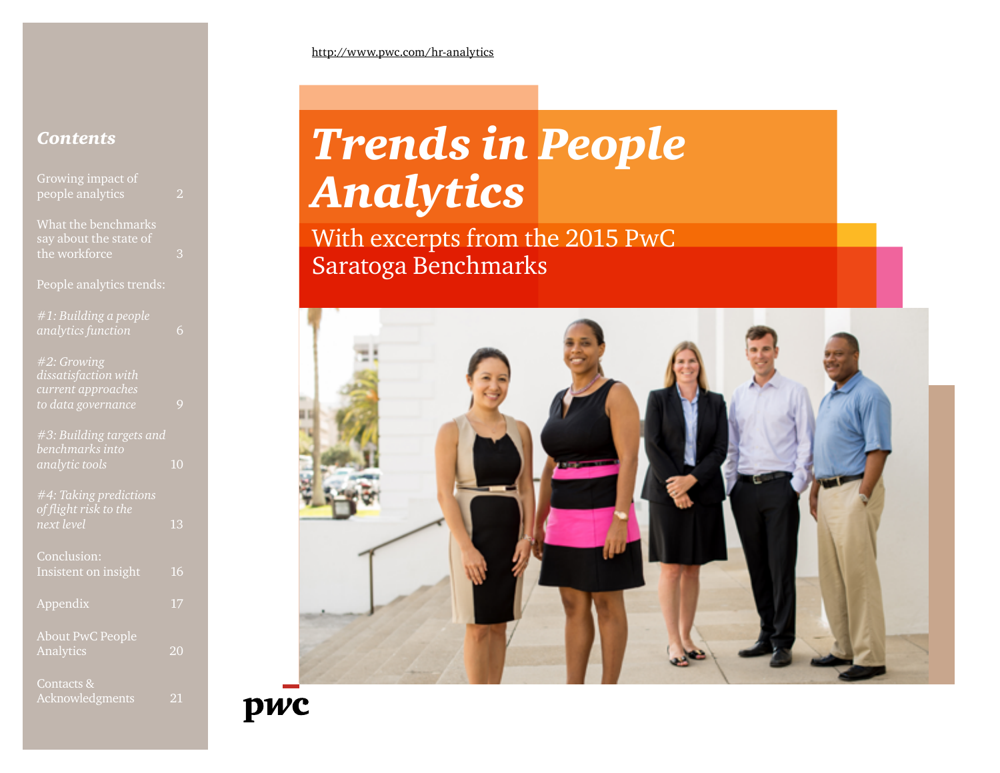### http://www.pwc.com/hr-analytics

# *Contents*

| Growing impact of        |                 |
|--------------------------|-----------------|
| people analytics         | 2               |
|                          |                 |
| What the benchmarks      |                 |
| say about the state of   |                 |
| the workforce            | 3               |
|                          |                 |
| People analytics trends: |                 |
|                          |                 |
| #1: Building a people    |                 |
| analytics function       | 6               |
|                          |                 |
| #2: Growing              |                 |
| dissatisfaction with     |                 |
| current approaches       |                 |
| to data governance       | 9               |
|                          |                 |
| #3: Building targets and |                 |
| benchmarks into          |                 |
| analytic tools           | 10              |
|                          |                 |
| #4: Taking predictions   |                 |
| of flight risk to the    |                 |
| next level               | $\overline{13}$ |
|                          |                 |
| Conclusion:              |                 |
| Insistent on insight     | 16              |
|                          |                 |
| Appendix                 | 17              |
|                          |                 |
| <b>About PwC People</b>  |                 |
| Analytics                | 20              |
|                          |                 |
| Contacts &               |                 |
| Acknowledgments          | 21              |

# *Trends in People Analytics*

With excerpts from the 2015 PwC Saratoga Benchmarks

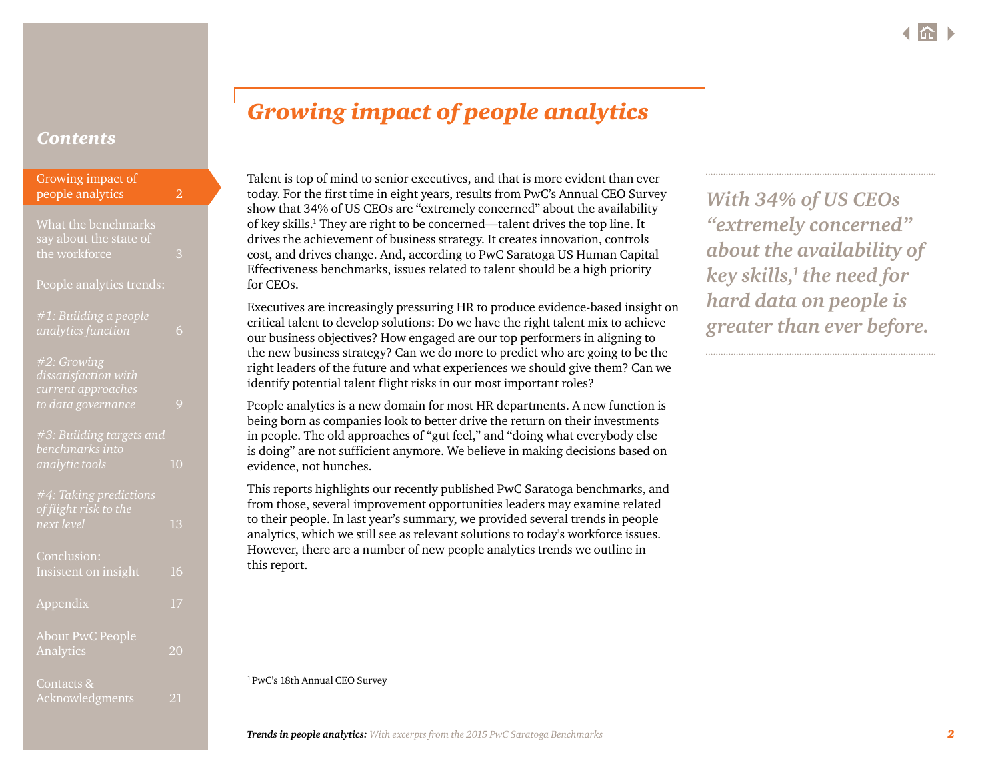<span id="page-1-0"></span>

| Growing impact of<br>people analytics                                                      | $\overline{2}$ |  |
|--------------------------------------------------------------------------------------------|----------------|--|
| What the benchmarks<br>say about the state of<br>the workforce<br>People analytics trends: | 3              |  |
| #1: Building a people<br>analytics function                                                | 6              |  |
| #2: Growing<br>dissatisfaction with<br>current approaches<br>to data governance            | 9              |  |
| #3: Building targets and<br>benchmarks into<br>analytic tools                              | 10             |  |
| #4: Taking predictions<br>of flight risk to the<br>next level                              | 13             |  |
| Conclusion:<br>Insistent on insight                                                        | 16             |  |
| Appendix                                                                                   | 17             |  |
| <b>About PwC People</b><br>Analytics                                                       | 20             |  |
| Contacts &<br>Acknowledgments                                                              | $^{21}$        |  |

# *Growing impact of people analytics*

Talent is top of mind to senior executives, and that is more evident than ever today. For the first time in eight years, results from PwC's Annual CEO Survey show that 34% of US CEOs are "extremely concerned" about the availability of key skills.<sup>1</sup> They are right to be concerned—talent drives the top line. It drives the achievement of business strategy. It creates innovation, controls cost, and drives change. And, according to PwC Saratoga US Human Capital Effectiveness benchmarks, issues related to talent should be a high priority for CEOs.

Executives are increasingly pressuring HR to produce evidence-based insight on critical talent to develop solutions: Do we have the right talent mix to achieve our business objectives? How engaged are our top performers in aligning to the new business strategy? Can we do more to predict who are going to be the right leaders of the future and what experiences we should give them? Can we identify potential talent flight risks in our most important roles?

People analytics is a new domain for most HR departments. A new function is being born as companies look to better drive the return on their investments in people. The old approaches of "gut feel," and "doing what everybody else is doing" are not sufficient anymore. We believe in making decisions based on evidence, not hunches.

This reports highlights our recently published PwC Saratoga benchmarks, and from those, several improvement opportunities leaders may examine related to their people. In last year's summary, we provided several trends in people analytics, which we still see as relevant solutions to today's workforce issues. However, there are a number of new people analytics trends we outline in this report.

*With 34% of US CEOs "extremely concerned" about the availability of key skills,1 the need for hard data on people is greater than ever before.*

[1 PwC's 18th Annual CEO Survey](http://www.pwc.com/gx/en/ceo-survey/2015/)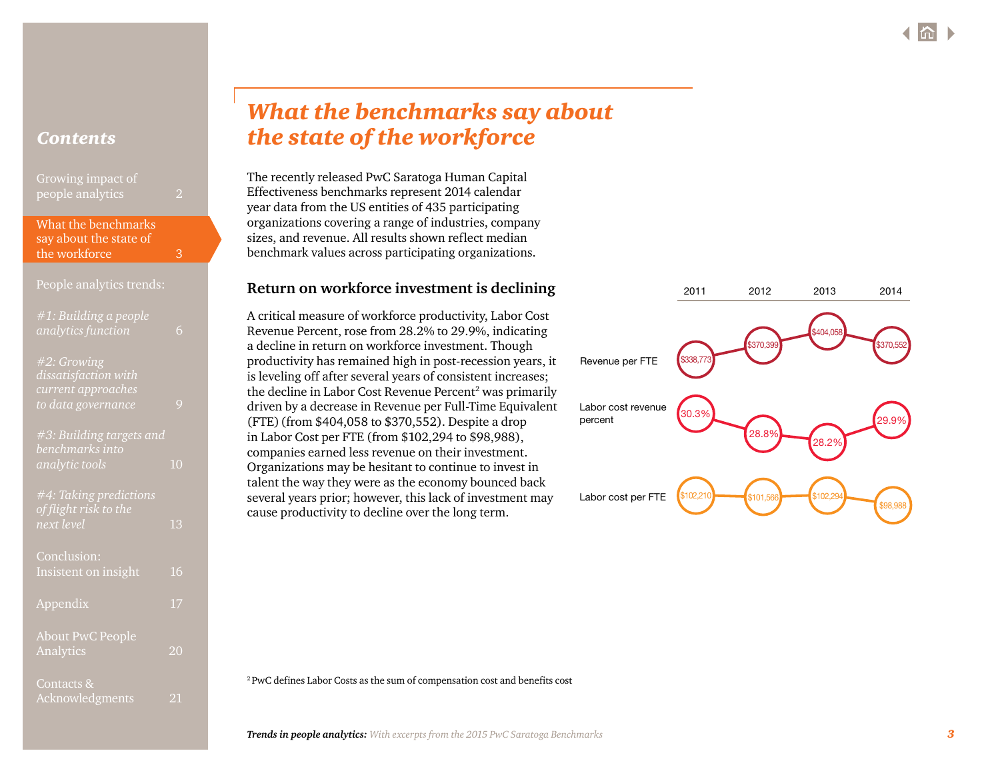<span id="page-2-0"></span>

| Growing impact of<br>people analytics |  |
|---------------------------------------|--|
| What the benchmarks                   |  |

say about the state of the workforce 3

### People analytics trends:

| #1: Building a people    |    |
|--------------------------|----|
| analytics function       | 6  |
|                          |    |
| #2: Growing              |    |
| dissatisfaction with     |    |
| current approaches       |    |
| to data governance       | 9  |
|                          |    |
| #3: Building targets and |    |
| benchmarks into          |    |
| analytic tools           | 10 |
|                          |    |
| #4: Taking predictions   |    |
| of flight risk to the    |    |
| next level               | 13 |
|                          |    |
| Conclusion:              |    |
| Insistent on insight     | 16 |
|                          |    |
| Appendix                 | 17 |
|                          |    |
| <b>About PwC People</b>  |    |
| Analytics                | 20 |
|                          |    |
| Contacts &               |    |
| Acknowledgments          | 21 |

# *What the benchmarks say about the state of the workforce*

The recently released PwC Saratoga Human Capital Effectiveness benchmarks represent 2014 calendar year data from the US entities of 435 participating organizations covering a range of industries, company sizes, and revenue. All results shown reflect median benchmark values across participating organizations.

## **Return on workforce investment is declining**

A critical measure of workforce productivity, Labor Cost Revenue Percent, rose from 28.2% to 29.9%, indicating a decline in return on workforce investment. Though productivity has remained high in post-recession years, it is leveling off after several years of consistent increases; the decline in Labor Cost Revenue Percent<sup>2</sup> was primarily driven by a decrease in Revenue per Full-Time Equivalent (FTE) (from \$404,058 to \$370,552). Despite a drop in Labor Cost per FTE (from \$102,294 to \$98,988), companies earned less revenue on their investment. Organizations may be hesitant to continue to invest in talent the way they were as the economy bounced back several years prior; however, this lack of investment may cause productivity to decline over the long term.



2 PwC defines Labor Costs as the sum of compensation cost and benefits cost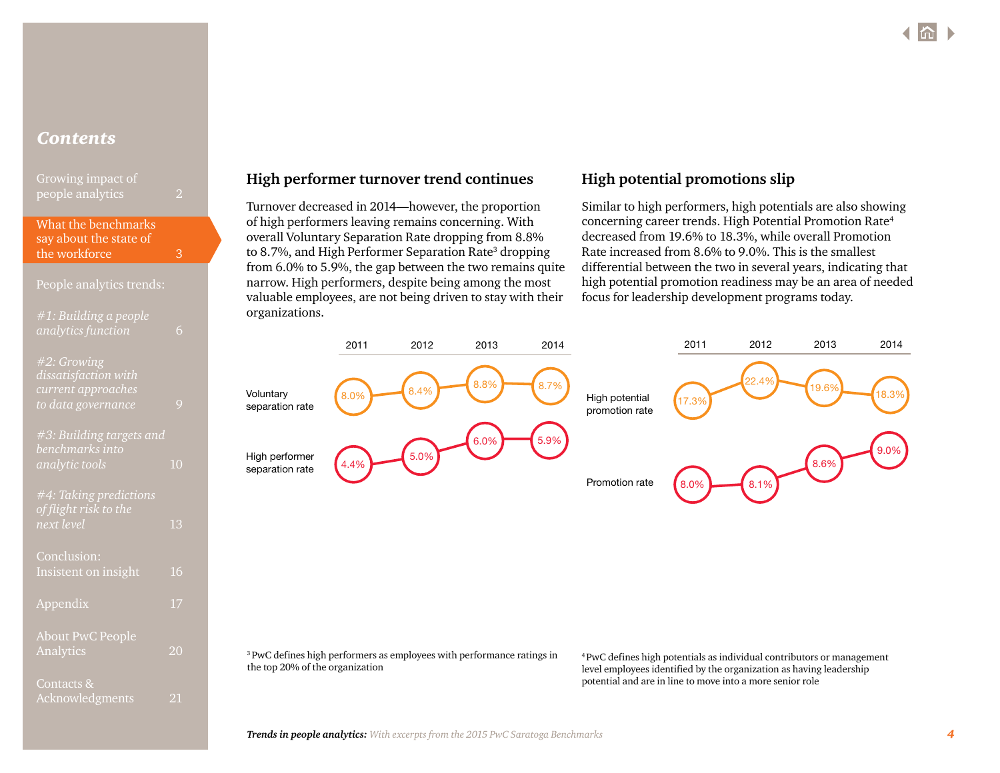| Growing impact of |  |
|-------------------|--|
| people analytics  |  |

### [What the benchmarks](#page-2-0)  [say about the state of](#page-2-0)  [the workforce](#page-2-0) 3

| People alialytics trelius.                                                      |                |
|---------------------------------------------------------------------------------|----------------|
| #1: Building a people<br><i>analytics function</i>                              | 6              |
| #2: Growing<br>dissatisfaction with<br>current approaches<br>to data governance | 9              |
| #3: Building targets and<br>benchmarks into<br>analytic tools                   | 1 <sub>0</sub> |
| #4: Taking predictions<br>of flight risk to the<br>next level                   | 13             |
| Conclusion:<br>Insistent on insight                                             | 16             |
| Appendix                                                                        | 17             |
| <b>About PwC People</b><br>Analytics                                            | 20             |
| Contacts &<br>Acknowledgments                                                   | 21             |

# **High performer turnover trend continues**

Turnover decreased in 2014—however, the proportion of high performers leaving remains concerning. With overall Voluntary Separation Rate dropping from 8.8% to 8.7%, and High Performer Separation Rate<sup>3</sup> dropping from 6.0% to 5.9%, the gap between the two remains quite narrow. High performers, despite being among the most valuable employees, are not being driven to stay with their organizations.

# **High potential promotions slip**

Similar to high performers, high potentials are also showing concerning career trends. High Potential Promotion Rate4 decreased from 19.6% to 18.3%, while overall Promotion Rate increased from 8.6% to 9.0%. This is the smallest differential between the two in several years, indicating that high potential promotion readiness may be an area of needed focus for leadership development programs today.



<sup>3</sup> PwC defines high performers as employees with performance ratings in the top 20% of the organization

4 PwC defines high potentials as individual contributors or management level employees identified by the organization as having leadership potential and are in line to move into a more senior role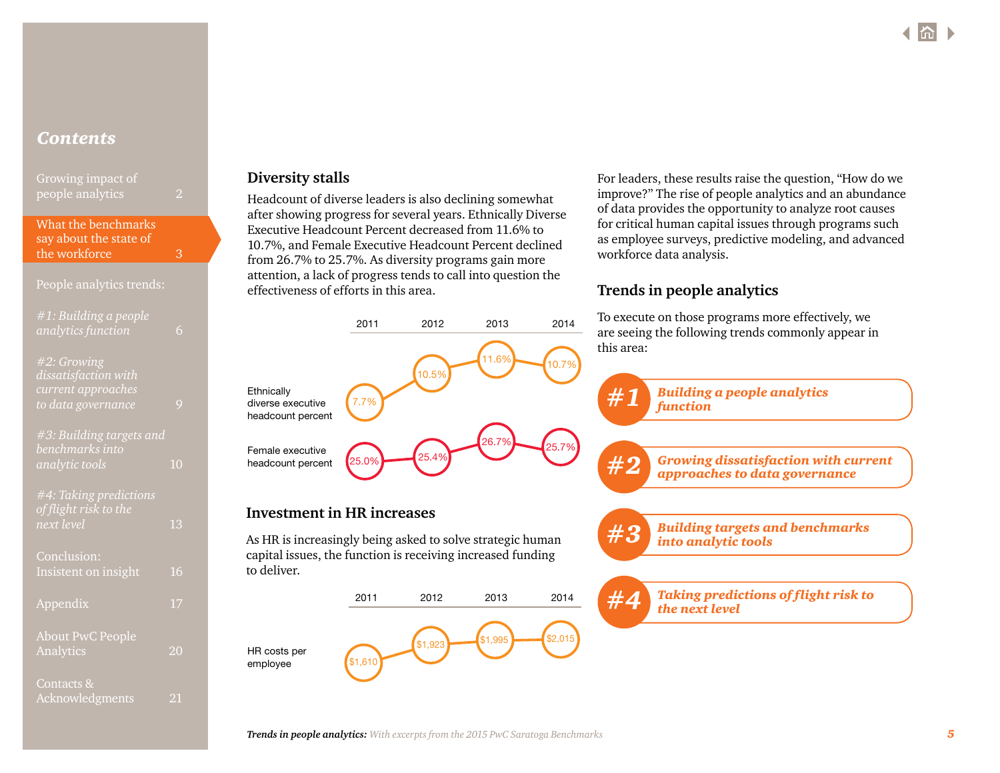[What the benchmarks](#page-2-0)  [say about the state of](#page-2-0)  [the workforce](#page-2-0) 3

### People analytics trends:

| #1: Building a people<br>analytics functi <u>on</u>                             | 6            |
|---------------------------------------------------------------------------------|--------------|
| #2: Growing<br>dissatisfaction with<br>current approaches<br>to data governance | $\mathsf{Q}$ |
| #3: Building targets and<br>benchmarks into<br>analytic tools                   | 10           |
| #4: Taking predictions<br>of flight risk to the<br>next level                   | 13           |
| Conclusion:<br>Insistent on insight                                             | 16           |
| Appendix                                                                        | 17           |
| <b>About PwC People</b><br>Analytics                                            | 20           |
| Contacts &<br>Acknowledgments                                                   | 21           |

## **Diversity stalls**

to deliver.

HR costs per employee

**Ethnically** diverse executive headcount percent

Female executive headcount percent

Headcount of diverse leaders is also declining somewhat after showing progress for several years. Ethnically Diverse Executive Headcount Percent decreased from 11.6% to 10.7%, and Female Executive Headcount Percent declined from 26.7% to 25.7%. As diversity programs gain more attention, a lack of progress tends to call into question the effectiveness of efforts in this area.

2011 2012 2013 2014

For leaders, these results raise the question, "How do we improve?" The rise of people analytics and an abundance of data provides the opportunity to analyze root causes for critical human capital issues through programs such as employee surveys, predictive modeling, and advanced workforce data analysis.

# **Trends in people analytics**

To execute on those programs more effectively, we are seeing the following trends commonly appear in this area:

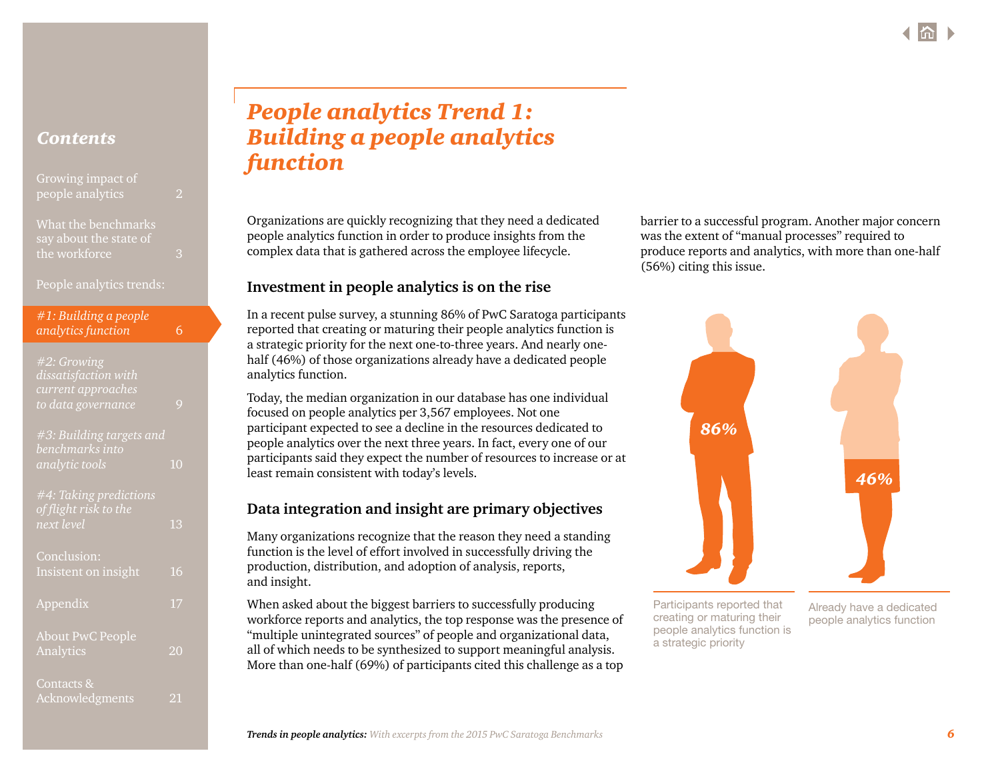<span id="page-5-0"></span>

| Growing impact of |  |
|-------------------|--|
| people analytics  |  |

[What the benchmarks](#page-2-0)  [say about the state of](#page-2-0)  [the workforce](#page-2-0) 3

People analytics trends:

|                    | #1: Building a people |   |
|--------------------|-----------------------|---|
| analytics function |                       | 6 |

| #2: Growing              |    |
|--------------------------|----|
| dissatisfaction with     |    |
| current approaches       |    |
| to data governance       |    |
|                          |    |
| #3: Building targets and |    |
| benchmarks into          |    |
| analytic tools           | 10 |
|                          |    |
| #4: Taking predictions   |    |
| of flight risk to the    |    |
| <u>next level</u>        | 13 |
|                          |    |
| Conclusion:              |    |
| Insistent on insight     | 16 |
|                          |    |
| Appendix                 |    |
|                          |    |
|                          |    |

# [About PwC People](#page-19-0)  [Analytics](#page-19-0) 20 [Contacts &](#page-20-0)

[Acknowledgments](#page-20-0) 21

# *People analytics Trend 1: Building a people analytics function*

Organizations are quickly recognizing that they need a dedicated people analytics function in order to produce insights from the complex data that is gathered across the employee lifecycle.

# **Investment in people analytics is on the rise**

In a recent pulse survey, a stunning 86% of PwC Saratoga participants reported that creating or maturing their people analytics function is a strategic priority for the next one-to-three years. And nearly onehalf (46%) of those organizations already have a dedicated people analytics function.

Today, the median organization in our database has one individual focused on people analytics per 3,567 employees. Not one participant expected to see a decline in the resources dedicated to people analytics over the next three years. In fact, every one of our participants said they expect the number of resources to increase or at least remain consistent with today's levels.

# **Data integration and insight are primary objectives**

Many organizations recognize that the reason they need a standing function is the level of effort involved in successfully driving the production, distribution, and adoption of analysis, reports, and insight.

When asked about the biggest barriers to successfully producing workforce reports and analytics, the top response was the presence of "multiple unintegrated sources" of people and organizational data, all of which needs to be synthesized to support meaningful analysis. More than one-half (69%) of participants cited this challenge as a top barrier to a successful program. Another major concern was the extent of "manual processes" required to produce reports and analytics, with more than one-half (56%) citing this issue.



Participants reported that creating or maturing their people analytics function is a strategic priority

Already have a dedicated people analytics function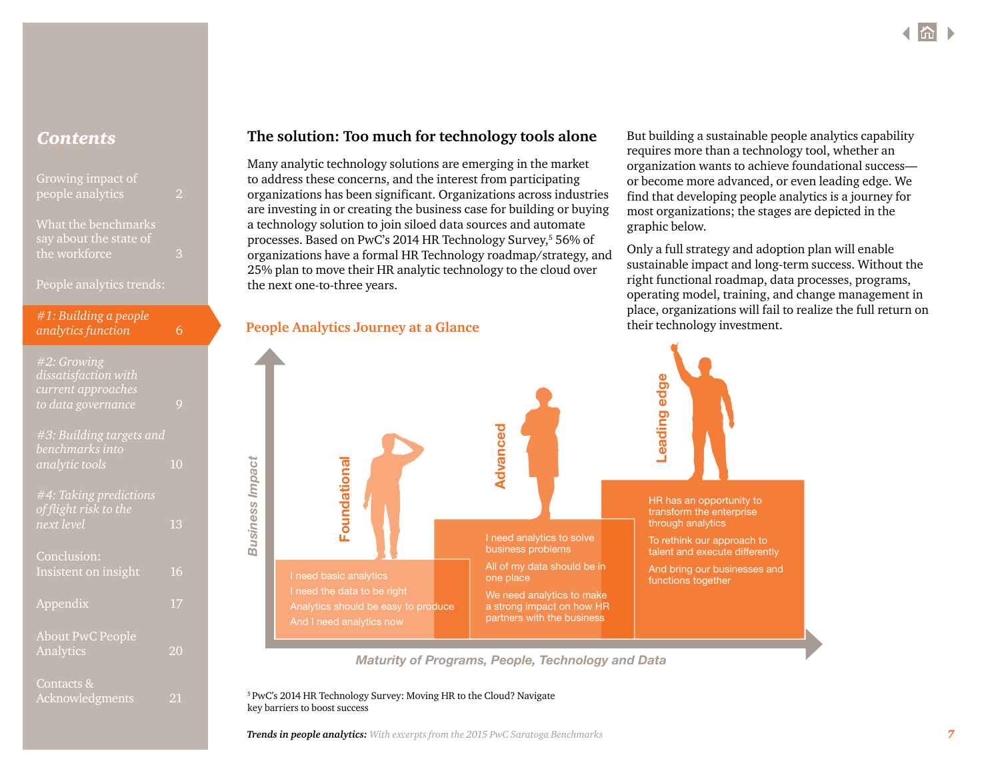| Growing impact of |  |
|-------------------|--|
| people analytics  |  |
|                   |  |

[What the benchmarks](#page-2-0)  [say about the state of](#page-2-0)  [the workforce](#page-2-0) 3

People analytics trends:

| #1: Building a people |   |
|-----------------------|---|
| analytics function    | 6 |

| #2: Growing<br>dissatisfaction with<br>current approaches<br>to data governance | 9  |
|---------------------------------------------------------------------------------|----|
| #3: Building targets and<br>benchmarks into<br>analytic tools                   | 10 |
| #4: Taking predictions<br>of flight risk to the<br>next level                   | 13 |
| Conclusion:<br>Insistent on insight                                             | 16 |
| Appendix                                                                        | 17 |
| <b>About PwC People</b><br>Analytics                                            | 20 |
| Contacts &<br>Acknowledgments                                                   | 21 |

# **Contents Read The solution: Too much for technology tools alone** But building a sustainable people analytics capability

Many analytic technology solutions are emerging in the market to address these concerns, and the interest from participating organizations has been significant. Organizations across industries are investing in or creating the business case for building or buying a technology solution to join siloed data sources and automate processes. Based on PwC's 2014 HR Technology Survey,<sup>5</sup> 56% of organizations have a formal HR Technology roadmap/strategy, and 25% plan to move their HR analytic technology to the cloud over the next one-to-three years.

**People Analytics Journey at a Glance**

requires more than a technology tool, whether an organization wants to achieve foundational success or become more advanced, or even leading edge. We find that developing people analytics is a journey for most organizations; the stages are depicted in the graphic below.

Only a full strategy and adoption plan will enable sustainable impact and long-term success. Without the right functional roadmap, data processes, programs, operating model, training, and change management in place, organizations will fail to realize the full return on their technology investment.



*Maturity of Programs, People, Technology and Data*

[5 PwC's 2014 HR Technology Survey: Moving HR to the Cloud?](http://www.pwc.com/en_US/us/increasing-it-effectiveness/publications/assets/moving-hr-to-the-cloud.pdf) Navigate key barriers to boost success

*Trends in people analytics: With excerpts from the 2015 PwC Saratoga Benchmarks 7*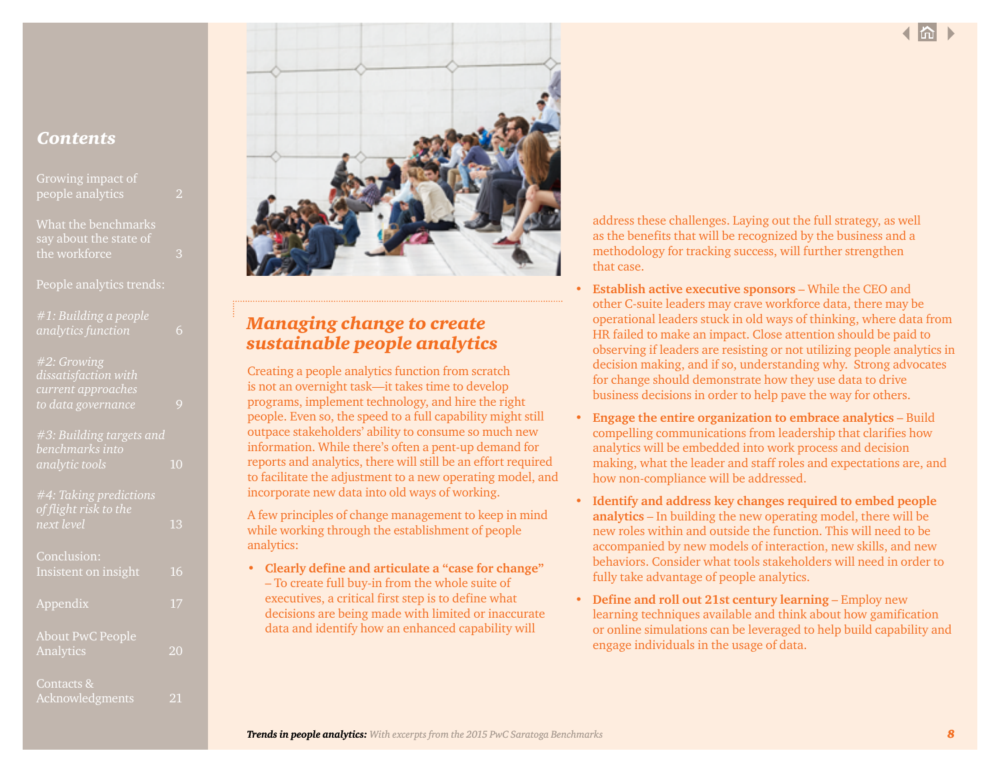[Growing impact of](#page-1-0) 

[What the benchmarks](#page-2-0)  [say about the state of](#page-2-0)  [the workforce](#page-2-0) 3

People analytics trends:

| #1: Building a people |  |
|-----------------------|--|
| analytics function    |  |

*[#2: Growing](#page-8-0)  [dissatisfaction with](#page-8-0)  [current approaches](#page-8-0)  [to data governance](#page-8-0)* 9 *[#3: Building targets and](#page-9-0)  [benchmarks into](#page-9-0)  [analytic tools](#page-9-0)* 10

*[#4: Taking predictions](#page-12-0)  [of flight risk to the](#page-12-0)  [next level](#page-12-0)* 13

| Conclusion:<br>Insistent on insight  | 16 |
|--------------------------------------|----|
| Appendix                             | 17 |
| <b>About PwC People</b><br>Analytics | 20 |
| Contacts &<br>Acknowledgments        |    |



# *Managing change to create sustainable people analytics*

Creating a people analytics function from scratch is not an overnight task—it takes time to develop programs, implement technology, and hire the right people. Even so, the speed to a full capability might still outpace stakeholders' ability to consume so much new information. While there's often a pent-up demand for reports and analytics, there will still be an effort required to facilitate the adjustment to a new operating model, and incorporate new data into old ways of working.

A few principles of change management to keep in mind while working through the establishment of people analytics:

**• Clearly define and articulate a "case for change"**  – To create full buy-in from the whole suite of executives, a critical first step is to define what decisions are being made with limited or inaccurate data and identify how an enhanced capability will

address these challenges. Laying out the full strategy, as well as the benefits that will be recognized by the business and a methodology for tracking success, will further strengthen that case.

- **• Establish active executive sponsors** While the CEO and other C-suite leaders may crave workforce data, there may be operational leaders stuck in old ways of thinking, where data from HR failed to make an impact. Close attention should be paid to observing if leaders are resisting or not utilizing people analytics in decision making, and if so, understanding why. Strong advocates for change should demonstrate how they use data to drive business decisions in order to help pave the way for others.
- **• Engage the entire organization to embrace analytics** Build compelling communications from leadership that clarifies how analytics will be embedded into work process and decision making, what the leader and staff roles and expectations are, and how non-compliance will be addressed.
- **• Identify and address key changes required to embed people analytics** – In building the new operating model, there will be new roles within and outside the function. This will need to be accompanied by new models of interaction, new skills, and new behaviors. Consider what tools stakeholders will need in order to fully take advantage of people analytics.
- **• Define and roll out 21st century learning** Employ new learning techniques available and think about how gamification or online simulations can be leveraged to help build capability and engage individuals in the usage of data.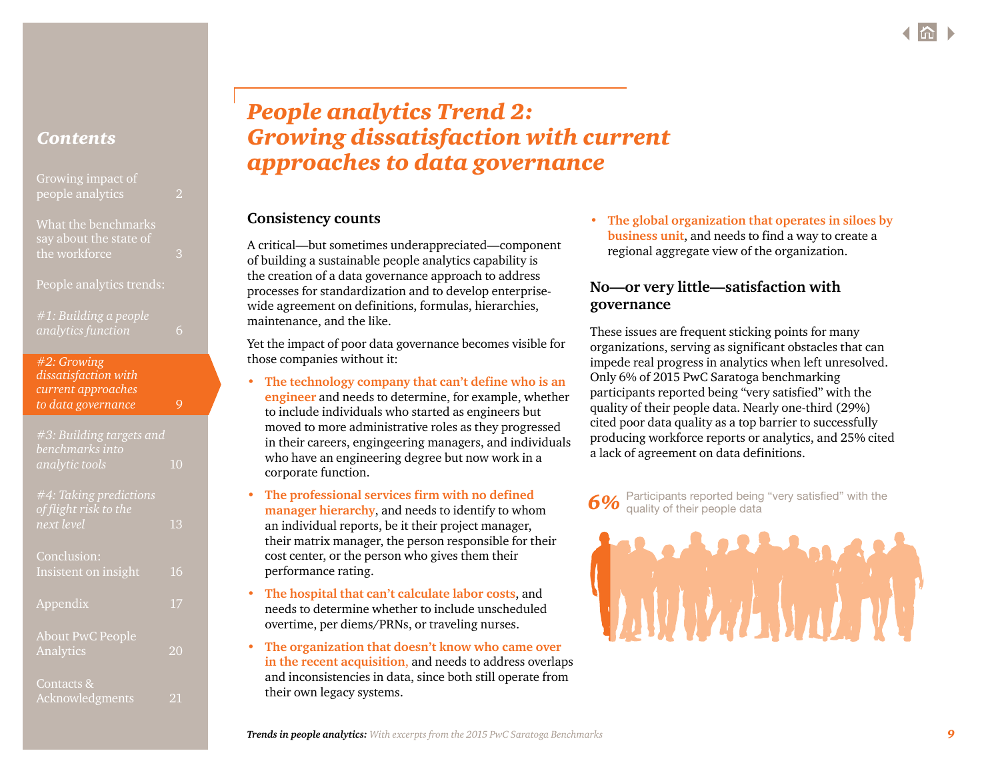<span id="page-8-0"></span>

| Growing impact of |  |
|-------------------|--|
| people analytics  |  |

[What the benchmarks](#page-2-0)  [say about the state of](#page-2-0)  [the workforce](#page-2-0) 3

People analytics trends:

| #1: Building a people |  |
|-----------------------|--|
| analytics function    |  |

| #2: Growing          |   |
|----------------------|---|
| dissatisfaction with |   |
| current approaches   |   |
| to data governance   | 9 |

| #3: Building targets and<br>benchmarks into<br>analytic tools | 10 |
|---------------------------------------------------------------|----|
| #4: Taking predictions<br>of flight risk to the<br>next level | 13 |
| Conclusion:<br>Insistent on insight                           | 16 |
| Appendix                                                      | 17 |
| <b>About PwC People</b><br>Analytics                          | 20 |
| Contacts &                                                    |    |

[Acknowledgments](#page-20-0) 21

# *People analytics Trend 2: Growing dissatisfaction with current approaches to data governance*

# **Consistency counts**

A critical—but sometimes underappreciated—component of building a sustainable people analytics capability is the creation of a data governance approach to address processes for standardization and to develop enterprisewide agreement on definitions, formulas, hierarchies, maintenance, and the like.

Yet the impact of poor data governance becomes visible for those companies without it:

- **• The technology company that can't define who is an engineer** and needs to determine, for example, whether to include individuals who started as engineers but moved to more administrative roles as they progressed in their careers, engingeering managers, and individuals who have an engineering degree but now work in a corporate function.
- **• The professional services firm with no defined manager hierarchy**, and needs to identify to whom an individual reports, be it their project manager, their matrix manager, the person responsible for their cost center, or the person who gives them their performance rating.
- **• The hospital that can't calculate labor costs**, and needs to determine whether to include unscheduled overtime, per diems/PRNs, or traveling nurses.
- **• The organization that doesn't know who came over in the recent acquisition**, and needs to address overlaps and inconsistencies in data, since both still operate from their own legacy systems.

**• The global organization that operates in siloes by business unit**, and needs to find a way to create a regional aggregate view of the organization.

# **No—or very little—satisfaction with governance**

These issues are frequent sticking points for many organizations, serving as significant obstacles that can impede real progress in analytics when left unresolved. Only 6% of 2015 PwC Saratoga benchmarking participants reported being "very satisfied" with the quality of their people data. Nearly one-third (29%) cited poor data quality as a top barrier to successfully producing workforce reports or analytics, and 25% cited a lack of agreement on data definitions.

Participants reported being "very satisfied" with the quality of their people data

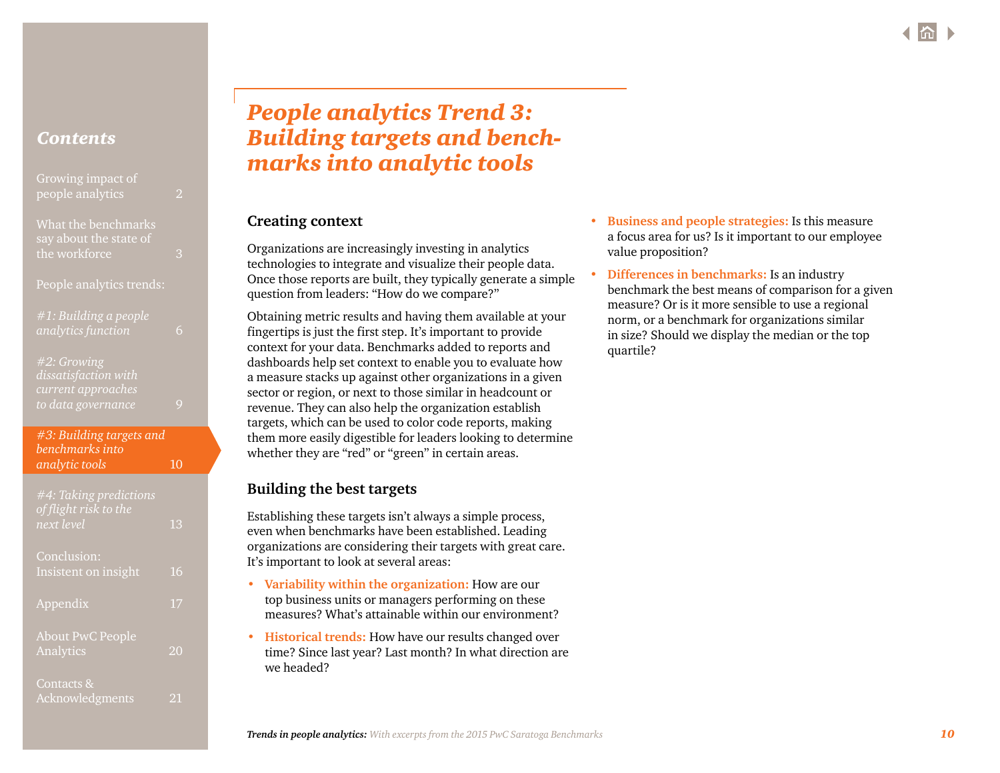<span id="page-9-0"></span>

| Growing impact of<br>people analytics         | $\mathcal{P}$ |
|-----------------------------------------------|---------------|
| What the benchmarks<br>say about the state of |               |

[the workforce](#page-2-0) 3

People analytics trends:

| $#1:$ Building a people |  |
|-------------------------|--|
| analytics function      |  |

*[#2: Growing](#page-8-0)  [dissatisfaction with](#page-8-0)  [current approaches](#page-8-0)  [to data governance](#page-8-0)* 9

*#3: Building targets and benchmarks into analytic tools* 10

| #4: Taking predictions<br>of flight risk to the<br>next level | 13 |
|---------------------------------------------------------------|----|
| Conclusion:<br>Insistent on insight                           | 16 |
| Appendix                                                      | 17 |
| <b>About PwC People</b><br>Analytics                          | 20 |
| Contacts &<br>Acknowledgments                                 | 21 |

# *People analytics Trend 3: Building targets and benchmarks into analytic tools*

# **Creating context**

Organizations are increasingly investing in analytics technologies to integrate and visualize their people data. Once those reports are built, they typically generate a simple question from leaders: "How do we compare?"

Obtaining metric results and having them available at your fingertips is just the first step. It's important to provide context for your data. Benchmarks added to reports and dashboards help set context to enable you to evaluate how a measure stacks up against other organizations in a given sector or region, or next to those similar in headcount or revenue. They can also help the organization establish targets, which can be used to color code reports, making them more easily digestible for leaders looking to determine whether they are "red" or "green" in certain areas.

# **Building the best targets**

Establishing these targets isn't always a simple process, even when benchmarks have been established. Leading organizations are considering their targets with great care. It's important to look at several areas:

- **• Variability within the organization:** How are our top business units or managers performing on these measures? What's attainable within our environment?
- **• Historical trends:** How have our results changed over time? Since last year? Last month? In what direction are we headed?
- **• Business and people strategies:** Is this measure a focus area for us? Is it important to our employee value proposition?
- **• Differences in benchmarks:** Is an industry benchmark the best means of comparison for a given measure? Or is it more sensible to use a regional norm, or a benchmark for organizations similar in size? Should we display the median or the top quartile?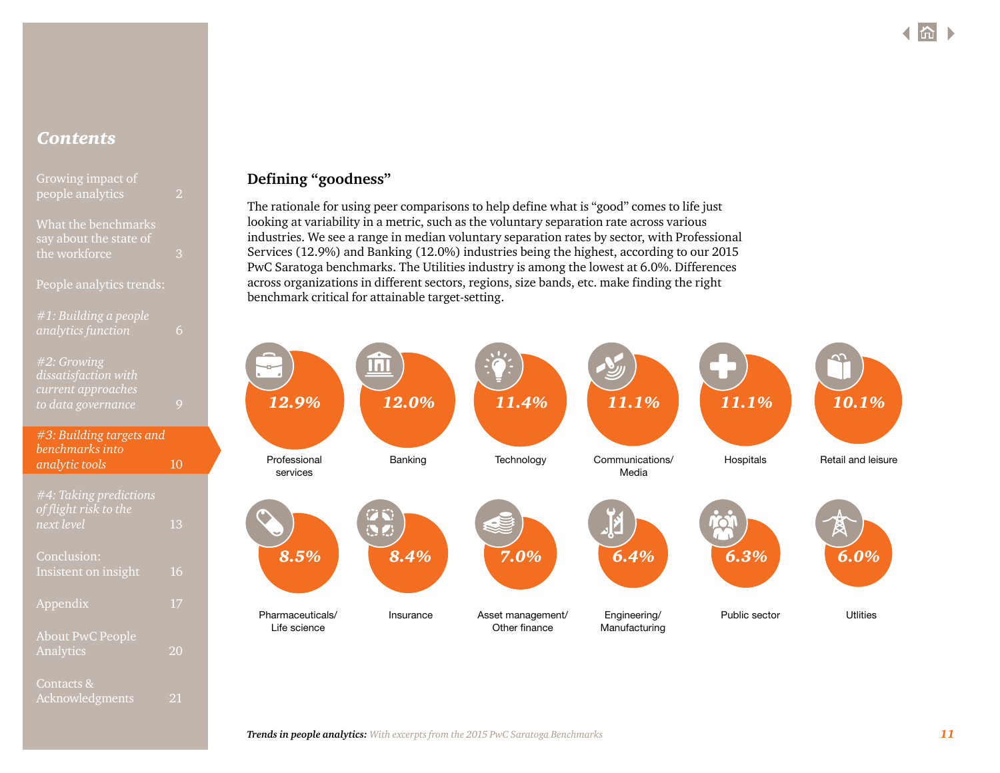| Growing impact of |  |
|-------------------|--|
| people analytics  |  |
|                   |  |

[What the benchmarks](#page-2-0)  [say about the state of](#page-2-0)  [the workforce](#page-2-0) 3

### People analytics trends:

| #1: Building a people |  |  |
|-----------------------|--|--|
| analytics function    |  |  |

### *[#2: Growing](#page-8-0)  [dissatisfaction with](#page-8-0)  [current approaches](#page-8-0)  [to data governance](#page-8-0)* 9

| #3: Building targets and |    |
|--------------------------|----|
| benchmarks into          |    |
| analytic tools           | 10 |
|                          |    |

*[#4: Taking predictions](#page-12-0)  [of flight risk to the](#page-12-0)  [next level](#page-12-0)* 13 [Conclusion:](#page-15-0) [Insistent on insight](#page-15-0) 16

[Appendix](#page-16-0) 17

[Analytics](#page-19-0) 20

[Acknowledgments](#page-20-0) 21

[About PwC People](#page-19-0) 

[Contacts &](#page-20-0) 

# **Defining "goodness"**

The rationale for using peer comparisons to help define what is "good" comes to life just looking at variability in a metric, such as the voluntary separation rate across various industries. We see a range in median voluntary separation rates by sector, with Professional Services (12.9%) and Banking (12.0%) industries being the highest, according to our 2015 PwC Saratoga benchmarks. The Utilities industry is among the lowest at 6.0%. Differences across organizations in different sectors, regions, size bands, etc. make finding the right benchmark critical for attainable target-setting.

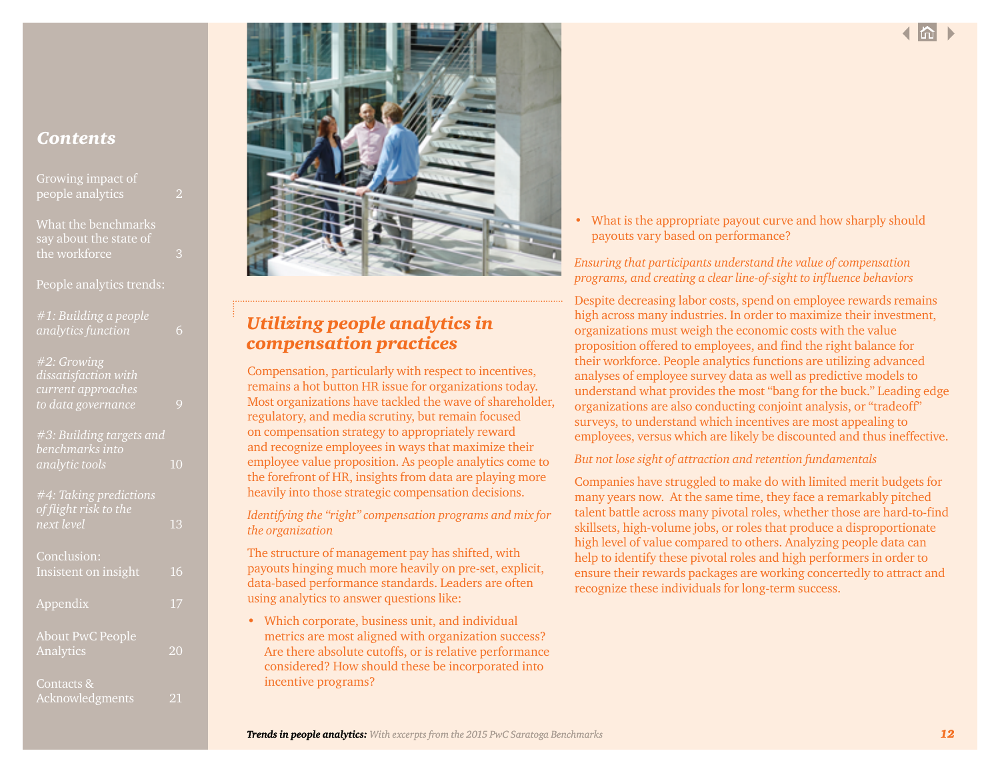| Growing impact of<br>people analytics |  |  |  |
|---------------------------------------|--|--|--|
|                                       |  |  |  |

[What the benchmarks](#page-2-0)  [say about the state of](#page-2-0)  [the workforce](#page-2-0) 3

People analytics trends:

| #1: Building a people |  |
|-----------------------|--|
| analytics function    |  |

# *[#2: Growing](#page-8-0)  [dissatisfaction with](#page-8-0)  [current approaches](#page-8-0)  [to data governance](#page-8-0)* 9

| #3: Building targets and<br>benchmarks into |    |
|---------------------------------------------|----|
| analytic tools                              | 10 |
| #4: Taking predictions                      |    |
| of flight risk to the<br>next level         | 13 |
|                                             |    |
| Conclusion:                                 |    |
| Insistent on insight                        | 16 |
| Appendix                                    | 17 |
| <b>About PwC People</b>                     |    |
| Analytics                                   | 20 |
| Contacts &                                  |    |
| Acknowledgments                             | 21 |



# *Utilizing people analytics in compensation practices*

Compensation, particularly with respect to incentives, remains a hot button HR issue for organizations today. Most organizations have tackled the wave of shareholder, regulatory, and media scrutiny, but remain focused on compensation strategy to appropriately reward and recognize employees in ways that maximize their employee value proposition. As people analytics come to the forefront of HR, insights from data are playing more heavily into those strategic compensation decisions.

*Identifying the "right" compensation programs and mix for the organization* 

The structure of management pay has shifted, with payouts hinging much more heavily on pre-set, explicit, data-based performance standards. Leaders are often using analytics to answer questions like:

• Which corporate, business unit, and individual metrics are most aligned with organization success? Are there absolute cutoffs, or is relative performance considered? How should these be incorporated into incentive programs?

• What is the appropriate payout curve and how sharply should payouts vary based on performance?

*Ensuring that participants understand the value of compensation programs, and creating a clear line-of-sight to influence behaviors*

Despite decreasing labor costs, spend on employee rewards remains high across many industries. In order to maximize their investment, organizations must weigh the economic costs with the value proposition offered to employees, and find the right balance for their workforce. People analytics functions are utilizing advanced analyses of employee survey data as well as predictive models to understand what provides the most "bang for the buck." Leading edge organizations are also conducting conjoint analysis, or "tradeoff" surveys, to understand which incentives are most appealing to employees, versus which are likely be discounted and thus ineffective.

### *But not lose sight of attraction and retention fundamentals*

Companies have struggled to make do with limited merit budgets for many years now. At the same time, they face a remarkably pitched talent battle across many pivotal roles, whether those are hard-to-find skillsets, high-volume jobs, or roles that produce a disproportionate high level of value compared to others. Analyzing people data can help to identify these pivotal roles and high performers in order to ensure their rewards packages are working concertedly to attract and recognize these individuals for long-term success.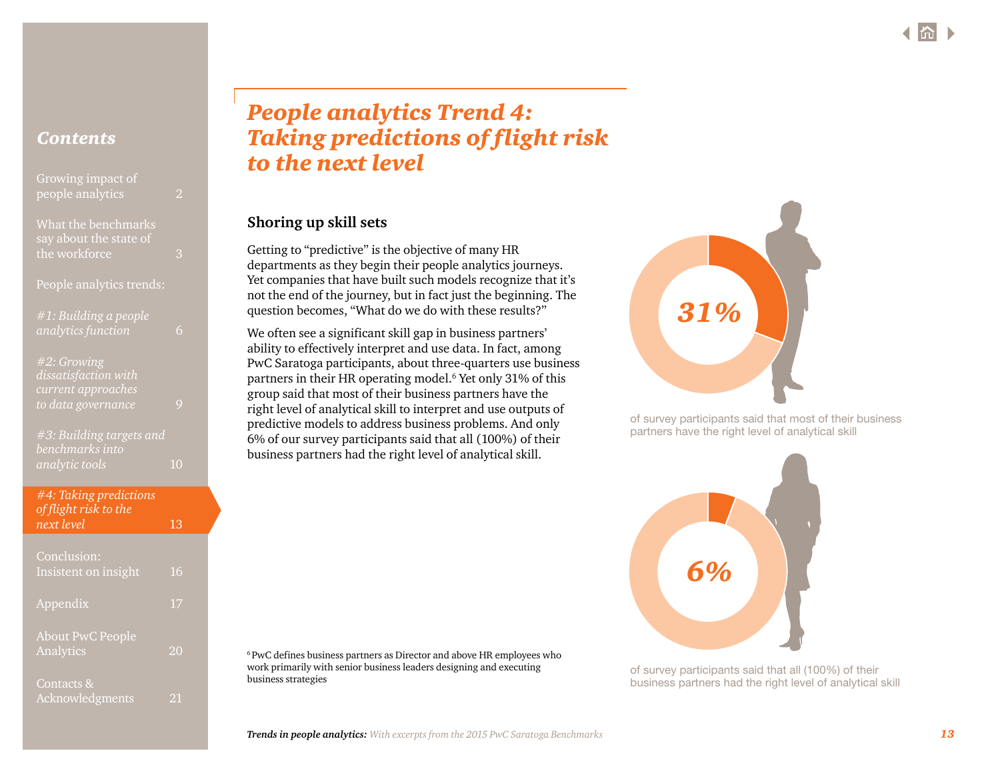<span id="page-12-0"></span>

| Growing impact of<br>people analytics         | 2 |
|-----------------------------------------------|---|
| What the benchmarks<br>say about the state of |   |

[the workforce](#page-2-0) 3

People analytics trends:

| #1: Building a people |  |
|-----------------------|--|
| analytics function    |  |

*[#2: Growing](#page-8-0)  [dissatisfaction with](#page-8-0)  [current approaches](#page-8-0)  [to data governance](#page-8-0)* 9

*[#3: Building targets and](#page-9-0)  [benchmarks into](#page-9-0)  [analytic tools](#page-9-0)* 10

| #4: Taking predictions<br>of flight risk to the |    |
|-------------------------------------------------|----|
| next level                                      | 13 |
| Conclusion:                                     |    |

| -----------------<br>Insistent on insight | 16 |
|-------------------------------------------|----|
| Appendix                                  | 17 |
| <b>About PwC People</b><br>Analytics      | 20 |
| Contacts &<br>Acknowledgments             | 21 |

# *People analytics Trend 4: Taking predictions of flight risk to the next level*

# **Shoring up skill sets**

Getting to "predictive" is the objective of many HR departments as they begin their people analytics journeys. Yet companies that have built such models recognize that it's not the end of the journey, but in fact just the beginning. The question becomes, "What do we do with these results?"

We often see a significant skill gap in business partners' ability to effectively interpret and use data. In fact, among PwC Saratoga participants, about three-quarters use business partners in their HR operating model.6 Yet only 31% of this group said that most of their business partners have the right level of analytical skill to interpret and use outputs of predictive models to address business problems. And only 6% of our survey participants said that all (100%) of their business partners had the right level of analytical skill.





of survey participants said that most of their business partners have the right level of analytical skill



of survey participants said that all (100%) of their business partners had the right level of analytical skill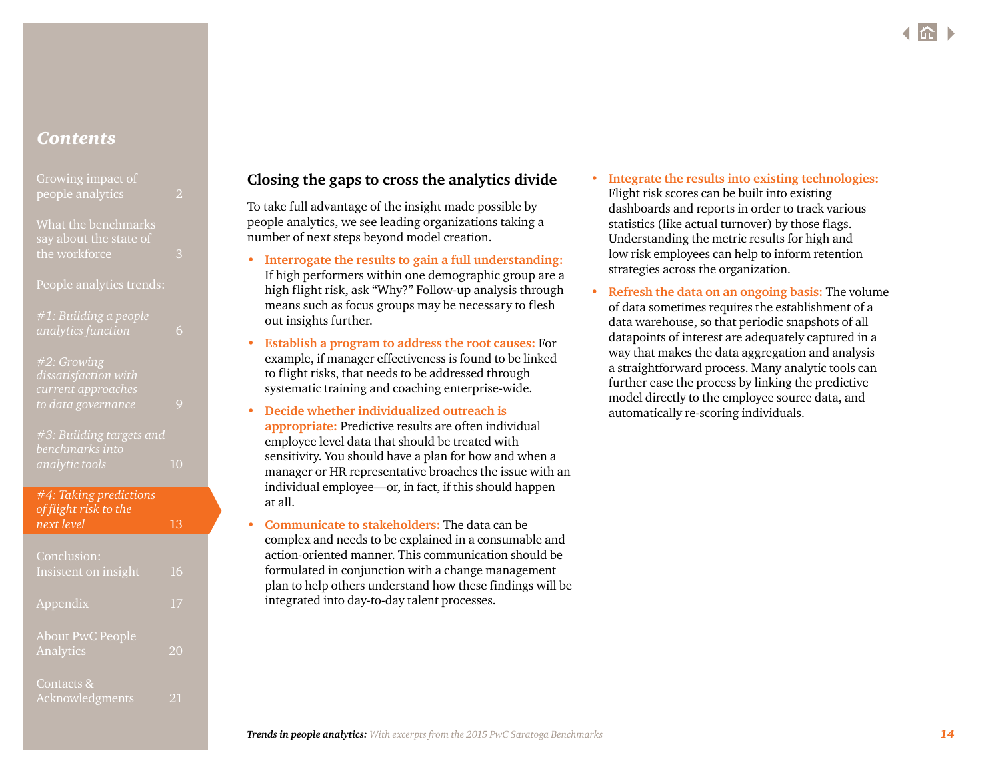| Growing impact of |  |
|-------------------|--|
| people analytics  |  |

### [What the benchmarks](#page-2-0)  [say about the state of](#page-2-0)  [the workforce](#page-2-0) 3

People analytics trends:

| #1: Building a people |  |
|-----------------------|--|
| analytics function    |  |

### *[#2: Growing](#page-8-0)  [dissatisfaction with](#page-8-0)  [current approaches](#page-8-0)  [to data governance](#page-8-0)* 9

*[#3: Building targets and](#page-9-0)  [benchmarks into](#page-9-0)  [analytic tools](#page-9-0)* 10

## *[#4: Taking predictions](#page-12-0)  [of flight risk to the](#page-12-0)  [next level](#page-12-0)* 13

| Conclusion:<br>Insistent on insight  | 16 |
|--------------------------------------|----|
| Appendix                             | 17 |
| <b>About PwC People</b><br>Analytics | 20 |
| Contacts &<br>Acknowledgments        | 21 |

# **Closing the gaps to cross the analytics divide**

To take full advantage of the insight made possible by people analytics, we see leading organizations taking a number of next steps beyond model creation.

- **• Interrogate the results to gain a full understanding:** If high performers within one demographic group are a high flight risk, ask "Why?" Follow-up analysis through means such as focus groups may be necessary to flesh out insights further.
- **• Establish a program to address the root causes:** For example, if manager effectiveness is found to be linked to flight risks, that needs to be addressed through systematic training and coaching enterprise-wide.
- **• Decide whether individualized outreach is appropriate:** Predictive results are often individual employee level data that should be treated with sensitivity. You should have a plan for how and when a manager or HR representative broaches the issue with an individual employee—or, in fact, if this should happen at all.
- **• Communicate to stakeholders:** The data can be complex and needs to be explained in a consumable and action-oriented manner. This communication should be formulated in conjunction with a change management plan to help others understand how these findings will be integrated into day-to-day talent processes.
- **• Integrate the results into existing technologies:** Flight risk scores can be built into existing dashboards and reports in order to track various statistics (like actual turnover) by those flags. Understanding the metric results for high and low risk employees can help to inform retention strategies across the organization.
- **• Refresh the data on an ongoing basis:** The volume of data sometimes requires the establishment of a data warehouse, so that periodic snapshots of all datapoints of interest are adequately captured in a way that makes the data aggregation and analysis a straightforward process. Many analytic tools can further ease the process by linking the predictive model directly to the employee source data, and automatically re-scoring individuals.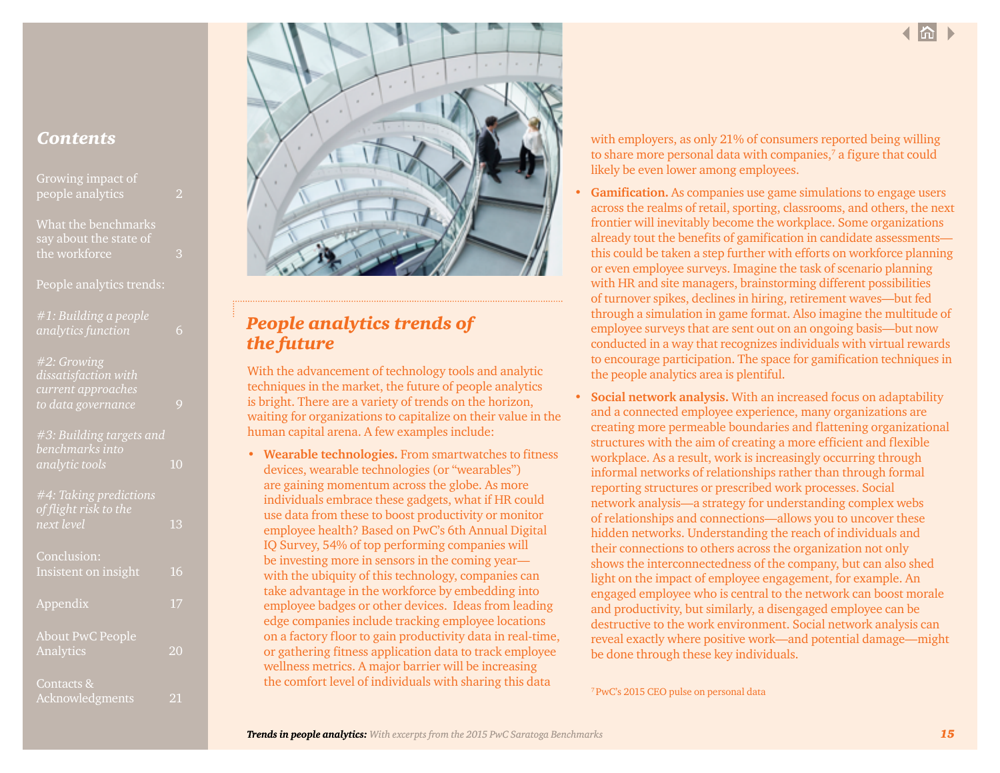| Growing impact of<br>people analytics | יפו |  |
|---------------------------------------|-----|--|
| What the benchmarks                   |     |  |

[say about the state of](#page-2-0)  [the workforce](#page-2-0) 3

People analytics trends:

| $#1:$ Building a people<br>analytics function                                   |  |
|---------------------------------------------------------------------------------|--|
| #2: Growing<br>dissatisfaction with<br>current approaches<br>to data governance |  |
| #3: Building targets and<br>benchmarks into                                     |  |

*[analytic tools](#page-9-0)* 10

| #4: Taking predictions<br>of flight risk to the<br>next level | 13 |
|---------------------------------------------------------------|----|
| Conclusion:<br>Insistent on insight                           | 16 |
| Appendix                                                      | 17 |
| <b>About PwC People</b><br>Analytics                          | 20 |
| Contacts &<br>Acknowledgments                                 | 21 |



# *People analytics trends of the future*

With the advancement of technology tools and analytic techniques in the market, the future of people analytics is bright. There are a variety of trends on the horizon, waiting for organizations to capitalize on their value in the human capital arena. A few examples include:

• **Wearable technologies.** From smartwatches to fitness devices, wearable technologies (or "wearables") are gaining momentum across the globe. As more individuals embrace these gadgets, what if HR could use data from these to boost productivity or monitor employee health? Based on PwC's 6th Annual Digital IQ Survey, 54% of top performing companies will be investing more in sensors in the coming year with the ubiquity of this technology, companies can take advantage in the workforce by embedding into employee badges or other devices. Ideas from leading edge companies include tracking employee locations on a factory floor to gain productivity data in real-time, or gathering fitness application data to track employee wellness metrics. A major barrier will be increasing the comfort level of individuals with sharing this data

with employers, as only 21% of consumers reported being willing to share more personal data with companies, $7$  a figure that could likely be even lower among employees.

- **Gamification.** As companies use game simulations to engage users across the realms of retail, sporting, classrooms, and others, the next frontier will inevitably become the workplace. Some organizations already tout the benefits of gamification in candidate assessments this could be taken a step further with efforts on workforce planning or even employee surveys. Imagine the task of scenario planning with HR and site managers, brainstorming different possibilities of turnover spikes, declines in hiring, retirement waves—but fed through a simulation in game format. Also imagine the multitude of employee surveys that are sent out on an ongoing basis—but now conducted in a way that recognizes individuals with virtual rewards to encourage participation. The space for gamification techniques in the people analytics area is plentiful.
- **Social network analysis.** With an increased focus on adaptability and a connected employee experience, many organizations are creating more permeable boundaries and flattening organizational structures with the aim of creating a more efficient and flexible workplace. As a result, work is increasingly occurring through informal networks of relationships rather than through formal reporting structures or prescribed work processes. Social network analysis—a strategy for understanding complex webs of relationships and connections—allows you to uncover these hidden networks. Understanding the reach of individuals and their connections to others across the organization not only shows the interconnectedness of the company, but can also shed light on the impact of employee engagement, for example. An engaged employee who is central to the network can boost morale and productivity, but similarly, a disengaged employee can be destructive to the work environment. Social network analysis can reveal exactly where positive work—and potential damage—might be done through these key individuals.

[7 PwC's 2015 CEO pulse on personal data](http://www.pwc.com/gx/en/ceo-survey/pulse/personal-data.jhtml)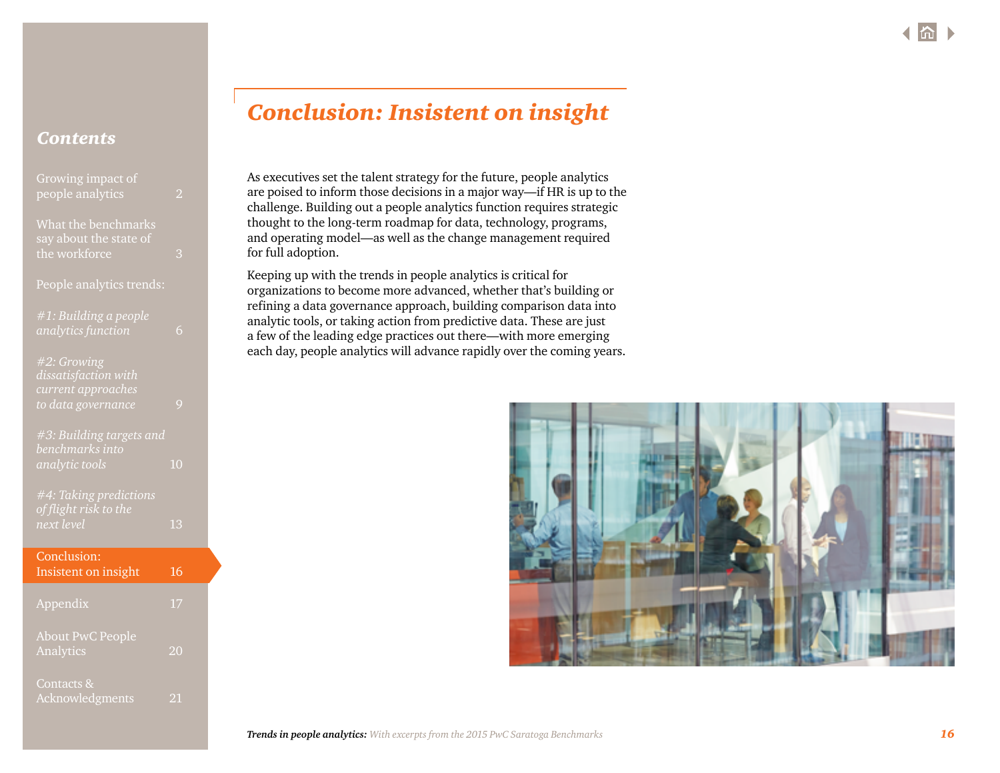<span id="page-15-0"></span>

| Growing impact of<br>people analytics                          | $\overline{\mathcal{L}}$ |  |
|----------------------------------------------------------------|--------------------------|--|
| What the benchmarks<br>say about the state of<br>the workforce | 3                        |  |
| People analytics trends:                                       |                          |  |
| #1: Building a people<br>analytics function                    | 6                        |  |
| #2: Growing<br>dissatisfaction with<br>current approaches      |                          |  |
| to data governance                                             | 9                        |  |
| #3: Building targets and<br>benchmarks into<br>analytic tools  | 10                       |  |
| #4: Taking predictions<br>of flight risk to the<br>next level  | 13                       |  |
| Conclusion:<br>Insistent on insight                            | 16                       |  |
| Appendix                                                       | 17                       |  |
| <b>About PwC People</b><br>Analytics                           | 20                       |  |
| Contacts &<br>Acknowledgments                                  | 21                       |  |

# *Conclusion: Insistent on insight*

As executives set the talent strategy for the future, people analytics are poised to inform those decisions in a major way—if HR is up to the challenge. Building out a people analytics function requires strategic thought to the long-term roadmap for data, technology, programs, and operating model—as well as the change management required for full adoption.

Keeping up with the trends in people analytics is critical for organizations to become more advanced, whether that's building or refining a data governance approach, building comparison data into analytic tools, or taking action from predictive data. These are just a few of the leading edge practices out there—with more emerging each day, people analytics will advance rapidly over the coming years.

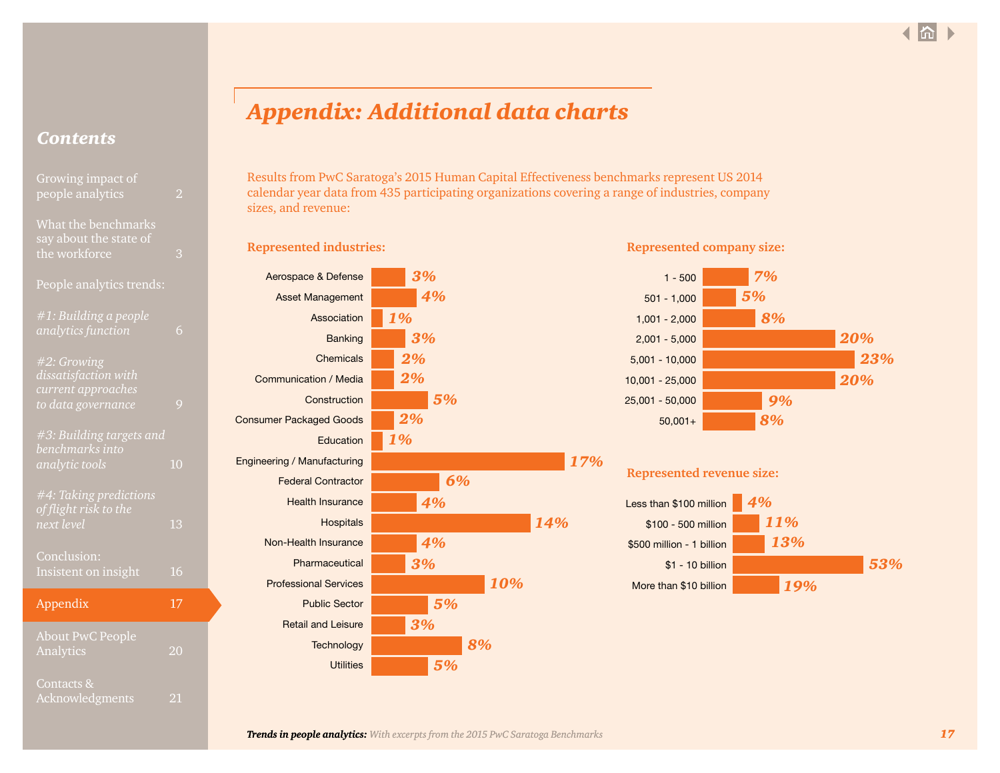<span id="page-16-0"></span>

| Growing impact of                                         |                |  |
|-----------------------------------------------------------|----------------|--|
| people analytics                                          | 2              |  |
| What the benchmarks<br>say about the state of             |                |  |
| the workforce                                             | 3              |  |
| People analytics trends:                                  |                |  |
| #1: Building a people                                     |                |  |
| analytics function                                        | 6              |  |
| #2: Growing<br>dissatisfaction with                       |                |  |
| current approaches                                        |                |  |
| to data governance                                        | 9              |  |
| $\overline{\#3:}$ Building targets and<br>benchmarks into |                |  |
| analytic tools                                            | 1 <sub>0</sub> |  |
| #4: Taking predictions                                    |                |  |
| of flight risk to <u>the</u>                              |                |  |
| next level                                                | 13             |  |
| Conclusion:                                               |                |  |
| Insistent on insight                                      | 16             |  |
| Appendix                                                  | 17             |  |
| <b>About PwC People</b>                                   |                |  |
| Analytics                                                 | 20             |  |

[Contacts &](#page-20-0) 

# *Appendix: Additional data charts*

Results from PwC Saratoga's 2015 Human Capital Effectiveness benchmarks represent US 2014 calendar year data from 435 participating organizations covering a range of industries, company sizes, and revenue:

| Aerospace & Defense            | 3%  |
|--------------------------------|-----|
| <b>Asset Management</b>        | 4%  |
| Association                    | 1%  |
| <b>Banking</b>                 | 3%  |
| Chemicals                      | 2%  |
| Communication / Media          | 2%  |
| Construction                   | 5%  |
| <b>Consumer Packaged Goods</b> | 2%  |
| Education                      | 1%  |
| Engineering / Manufacturing    |     |
| <b>Federal Contractor</b>      | 6%  |
| <b>Health Insurance</b>        | 4%  |
| <b>Hospitals</b>               |     |
| Non-Health Insurance           | 4%  |
| Pharmaceutical                 | 3%  |
| <b>Professional Services</b>   | 10% |
| <b>Public Sector</b>           | 5%  |
| <b>Retail and Leisure</b>      | 3%  |
| Technology                     | 8%  |
| <b>Utilities</b>               | 5%  |

### **Represented industries: Represented company size:**



# **Represented revenue size:**

*17%*

*14%*

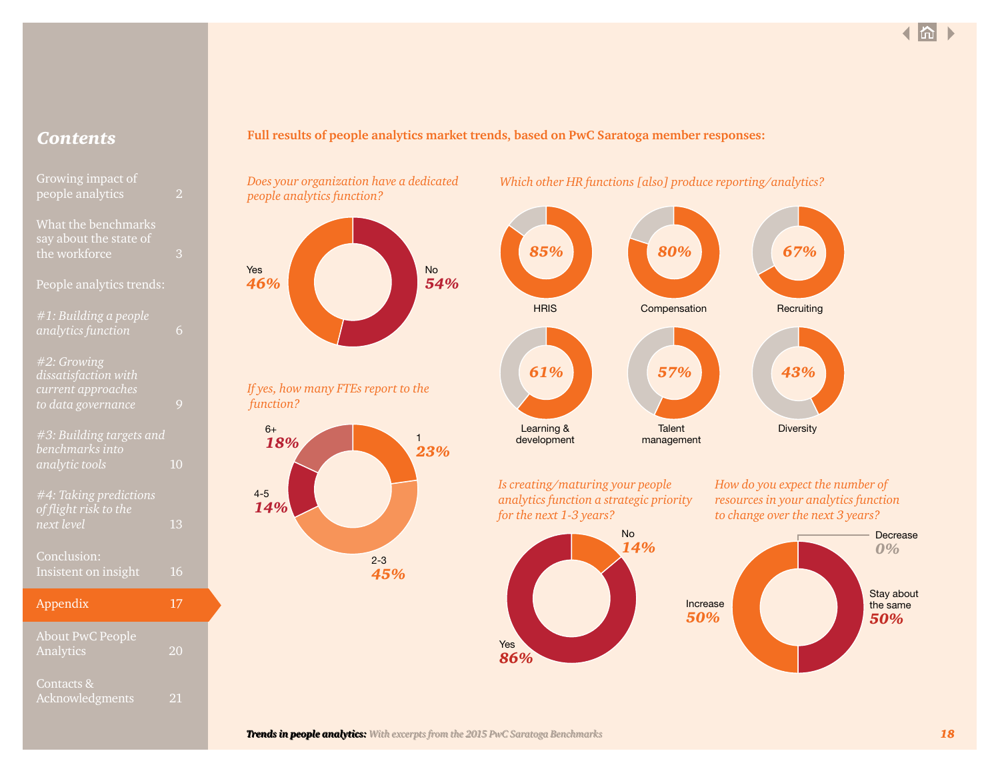| Growing impact of                |  |
|----------------------------------|--|
| people analytics<br>2            |  |
|                                  |  |
| What the benchmarks              |  |
| say about the state of           |  |
| the workforce<br>3               |  |
|                                  |  |
| People analytics trends:         |  |
| #1: Building a people            |  |
| analytics function<br>6          |  |
|                                  |  |
| #2: Growing                      |  |
| dissatisfaction with             |  |
| current approaches               |  |
| to data governance<br>9          |  |
|                                  |  |
| #3: Building targets and         |  |
| benchmarks into                  |  |
| 1 <sub>0</sub><br>analytic tools |  |
| <b>#4: Taking predictions</b>    |  |
| of flight risk to the            |  |
| next level<br>13                 |  |
|                                  |  |

| Conclusion:<br>Insistent on insight  | 16 |
|--------------------------------------|----|
| Appendix                             | 17 |
| <b>About PwC People</b><br>Analytics | 20 |
| Contacts &                           |    |

# *Contents* **Full results of people analytics market trends, based on PwC Saratoga member responses:**

*Does your organization have a dedicated people analytics function?*







*Which other HR functions [also] produce reporting/analytics?*

*Is creating/maturing your people analytics function a strategic priority for the next 1-3 years?*





Yes *86%*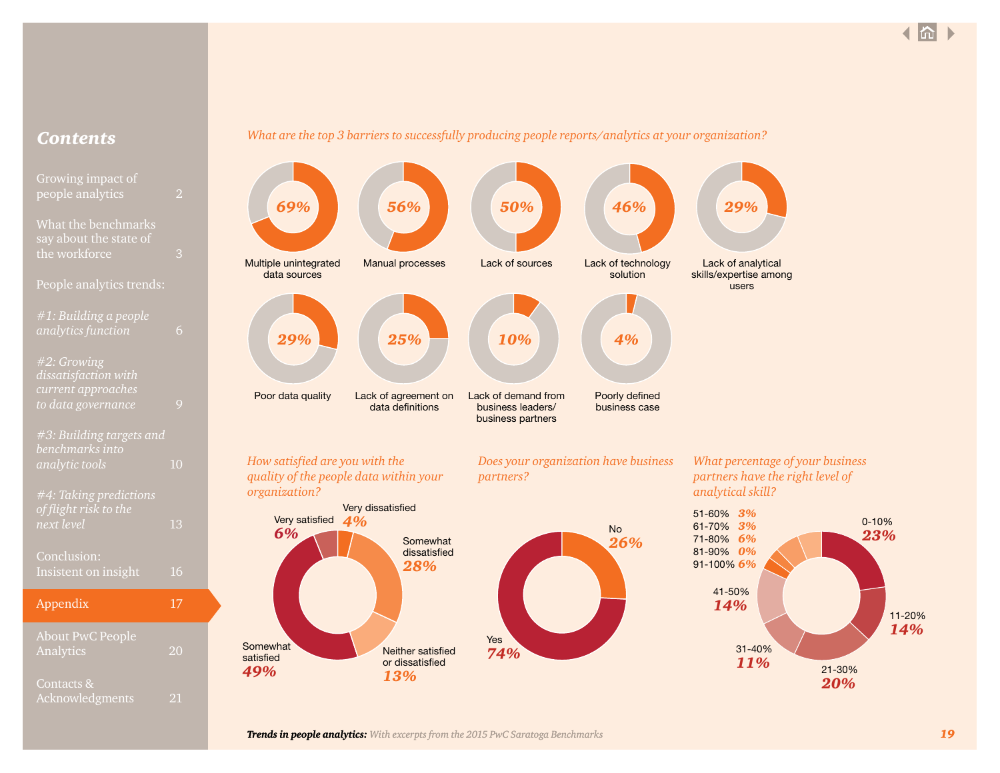# [What the benchmarks](#page-2-0)  [say about the state of](#page-2-0)  [the workforce](#page-2-0) 3 People analytics trends: *[#1: Building a people](#page-5-0)  [analytics function](#page-5-0)* 6 *[#2: Growing](#page-8-0)  [dissatisfaction with](#page-8-0)  [current approaches](#page-8-0)  [to data governance](#page-8-0)* 9 *[#3: Building targets and](#page-9-0)  [benchmarks into](#page-9-0)  [analytic tools](#page-9-0)* 10 *[#4: Taking predictions](#page-12-0)  [of flight risk to the](#page-12-0)  [next level](#page-12-0)* 13 [Conclusion:](#page-15-0) [Insistent on insight](#page-15-0) 16 [Appendix](#page-16-0) 17

# *Contents What are the top 3 barriers to successfully producing people reports/analytics at your organization?*



| Appendix                             | 17 |
|--------------------------------------|----|
| <b>About PwC People</b><br>Analytics | 20 |
| Contacts &<br>Acknowledgments        |    |

# **Somewhat** satisfied *49%* Neither satisfied or dissatisfied *13%* Yes *74%*

# *What percentage of your business partners have the right level of*

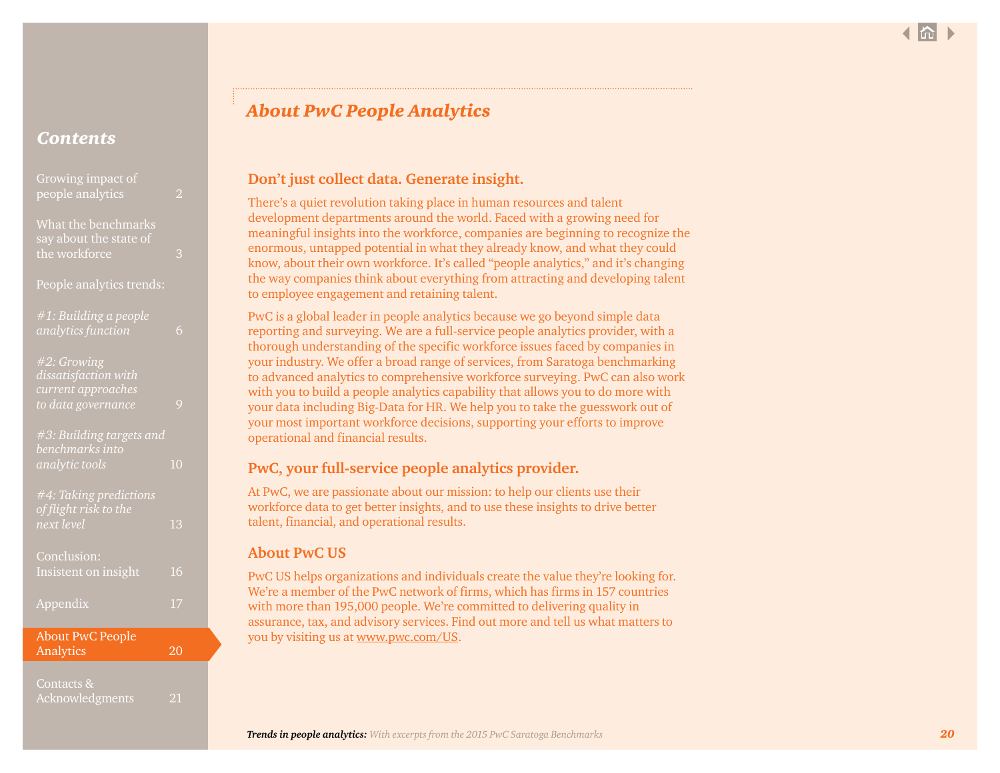<span id="page-19-0"></span>

| Growing impact of<br>people analytics                                           | $\overline{2}$ |
|---------------------------------------------------------------------------------|----------------|
| What the benchmarks<br>say about the state of<br>the workforce                  | 3              |
| People analytics trends:                                                        |                |
| #1: Building a people<br>analytics function                                     | 6              |
| #2: Growing<br>dissatisfaction with<br>current approaches<br>to data governance | 9              |
| #3: Building targets and<br>benchmarks into<br>analytic tools                   | 1 <sub>0</sub> |
| #4: Taking predictions<br>of flight risk to the<br>next level                   | 13             |
| Conclusion:<br>Insistent on insight                                             | 16             |
| Appendix                                                                        | 17             |
| <b>About PwC People</b><br>Analytics                                            | 20             |
|                                                                                 |                |

[Contacts &](#page-20-0) 

[Acknowledgments](#page-20-0) 21

# *About PwC People Analytics*

# **Don't just collect data. Generate insight.**

There's a quiet revolution taking place in human resources and talent development departments around the world. Faced with a growing need for meaningful insights into the workforce, companies are beginning to recognize the enormous, untapped potential in what they already know, and what they could know, about their own workforce. It's called "people analytics," and it's changing the way companies think about everything from attracting and developing talent to employee engagement and retaining talent.

PwC is a global leader in people analytics because we go beyond simple data reporting and surveying. We are a full-service people analytics provider, with a thorough understanding of the specific workforce issues faced by companies in your industry. We offer a broad range of services, from Saratoga benchmarking to advanced analytics to comprehensive workforce surveying. PwC can also work with you to build a people analytics capability that allows you to do more with your data including Big-Data for HR. We help you to take the guesswork out of your most important workforce decisions, supporting your efforts to improve operational and financial results.

# **PwC, your full-service people analytics provider.**

At PwC, we are passionate about our mission: to help our clients use their workforce data to get better insights, and to use these insights to drive better talent, financial, and operational results.

# **About PwC US**

PwC US helps organizations and individuals create the value they're looking for. We're a member of the PwC network of firms, which has firms in 157 countries with more than 195,000 people. We're committed to delivering quality in assurance, tax, and advisory services. Find out more and tell us what matters to you by visiting us at www.pwc.com/US.